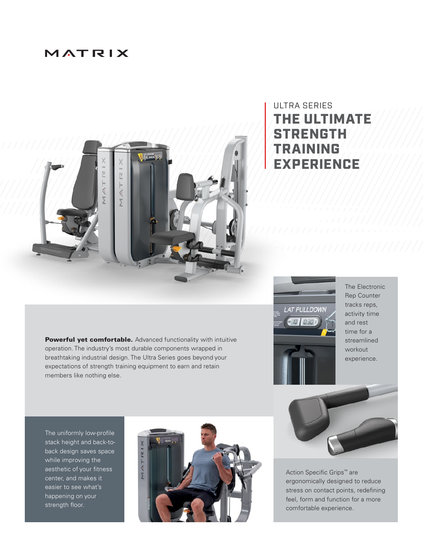## MATRIX



## ULTRA SERIES THE ULTIMATE STRENGTH TRAINING EXPERIENCE

Powerful yet comfortable. Advanced functionality with intuitive operation. The industry's most durable components wrapped in breathtaking industrial design. The Ultra Series goes beyond your expectations of strength training equipment to earn and retain members like nothing else.

The uniformly low-profile stack height and back-toback design saves space while improving the aesthetic of your fitness center, and makes it easier to see what's happening on your strength floor.





The Electronic Rep Counter tracks reps, activity time and rest time for a streamlined workout experience.



Action Specific Grips™ are ergonomically designed to reduce stress on contact points, redefining feel, form and function for a more comfortable experience.